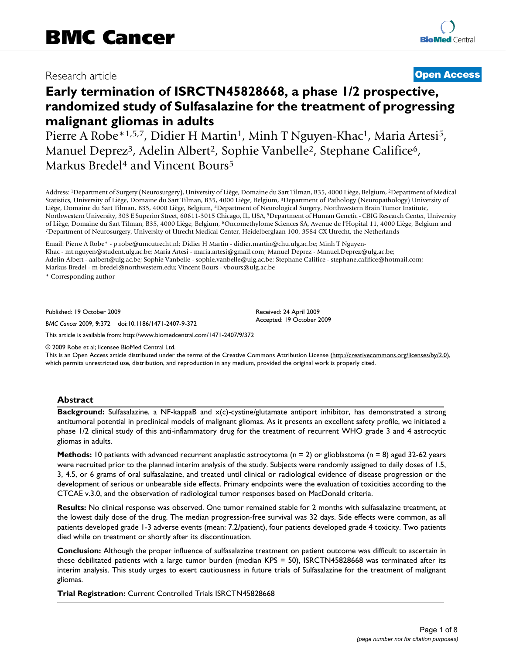# Research article **[Open Access](http://www.biomedcentral.com/info/about/charter/)**

# **Early termination of ISRCTN45828668, a phase 1/2 prospective, randomized study of Sulfasalazine for the treatment of progressing malignant gliomas in adults**

Pierre A Robe<sup>\*1,5,7</sup>, Didier H Martin<sup>1</sup>, Minh T Nguyen-Khac<sup>1</sup>, Maria Artesi<sup>5</sup>, Manuel Deprez<sup>3</sup>, Adelin Albert<sup>2</sup>, Sophie Vanbelle<sup>2</sup>, Stephane Califice<sup>6</sup>, Markus Bredel<sup>4</sup> and Vincent Bours<sup>5</sup>

Address: 1Department of Surgery (Neurosurgery), University of Liège, Domaine du Sart Tilman, B35, 4000 Liège, Belgium, 2Department of Medical Statistics, University of Liège, Domaine du Sart Tilman, B35, 4000 Liège, Belgium, 3Department of Pathology (Neuropathology) University of Liège, Domaine du Sart Tilman, B35, 4000 Liège, Belgium, 4Department of Neurological Surgery, Northwestern Brain Tumor Institute, Northwestern University, 303 E Superior Street, 60611-3015 Chicago, IL, USA, 5Department of Human Genetic - CBIG Research Center, University of Liège, Domaine du Sart Tilman, B35, 4000 Liège, Belgium, <sup>6</sup>Oncomethylome Sciences SA, Avenue de l'Hopital 11, 4000 Liège, Belgium and<br>7Department of Neurosurgery, University of Utrecht Medical Center, Heidelberglaan 10

Email: Pierre A Robe\* - p.robe@umcutrecht.nl; Didier H Martin - didier.martin@chu.ulg.ac.be; Minh T Nguyen-Khac - mt.nguyen@student.ulg.ac.be; Maria Artesi - maria.artesi@gmail.com; Manuel Deprez - Manuel.Deprez@ulg.ac.be; Adelin Albert - aalbert@ulg.ac.be; Sophie Vanbelle - sophie.vanbelle@ulg.ac.be; Stephane Califice - stephane.califice@hotmail.com; Markus Bredel - m-bredel@northwestern.edu; Vincent Bours - vbours@ulg.ac.be

\* Corresponding author

Published: 19 October 2009

*BMC Cancer* 2009, **9**:372 doi:10.1186/1471-2407-9-372

[This article is available from: http://www.biomedcentral.com/1471-2407/9/372](http://www.biomedcentral.com/1471-2407/9/372)

© 2009 Robe et al; licensee BioMed Central Ltd.

This is an Open Access article distributed under the terms of the Creative Commons Attribution License [\(http://creativecommons.org/licenses/by/2.0\)](http://creativecommons.org/licenses/by/2.0), which permits unrestricted use, distribution, and reproduction in any medium, provided the original work is properly cited.

Received: 24 April 2009 Accepted: 19 October 2009

#### **Abstract**

**Background:** Sulfasalazine, a NF-kappaB and x(c)-cystine/glutamate antiport inhibitor, has demonstrated a strong antitumoral potential in preclinical models of malignant gliomas. As it presents an excellent safety profile, we initiated a phase 1/2 clinical study of this anti-inflammatory drug for the treatment of recurrent WHO grade 3 and 4 astrocytic gliomas in adults.

**Methods:** 10 patients with advanced recurrent anaplastic astrocytoma (n = 2) or glioblastoma (n = 8) aged 32-62 years were recruited prior to the planned interim analysis of the study. Subjects were randomly assigned to daily doses of 1.5, 3, 4.5, or 6 grams of oral sulfasalazine, and treated until clinical or radiological evidence of disease progression or the development of serious or unbearable side effects. Primary endpoints were the evaluation of toxicities according to the CTCAE v.3.0, and the observation of radiological tumor responses based on MacDonald criteria.

**Results:** No clinical response was observed. One tumor remained stable for 2 months with sulfasalazine treatment, at the lowest daily dose of the drug. The median progression-free survival was 32 days. Side effects were common, as all patients developed grade 1-3 adverse events (mean: 7.2/patient), four patients developed grade 4 toxicity. Two patients died while on treatment or shortly after its discontinuation.

**Conclusion:** Although the proper influence of sulfasalazine treatment on patient outcome was difficult to ascertain in these debilitated patients with a large tumor burden (median KPS = 50), ISRCTN45828668 was terminated after its interim analysis. This study urges to exert cautiousness in future trials of Sulfasalazine for the treatment of malignant gliomas.

**Trial Registration:** Current Controlled Trials ISRCTN45828668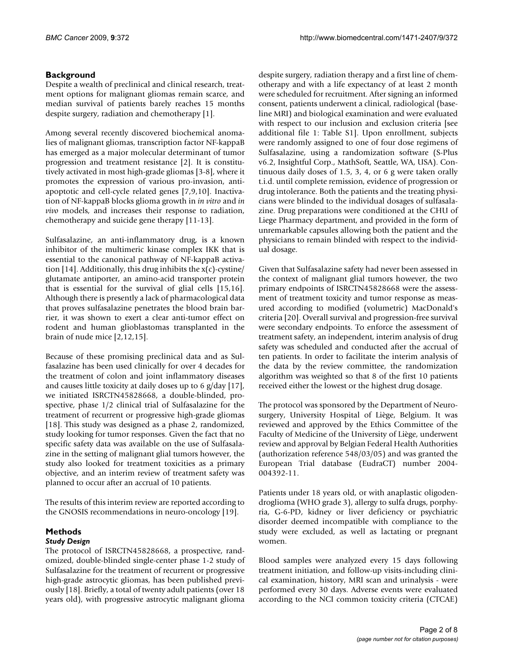#### **Background**

Despite a wealth of preclinical and clinical research, treatment options for malignant gliomas remain scarce, and median survival of patients barely reaches 15 months despite surgery, radiation and chemotherapy [1].

Among several recently discovered biochemical anomalies of malignant gliomas, transcription factor NF-kappaB has emerged as a major molecular determinant of tumor progression and treatment resistance [2]. It is constitutively activated in most high-grade gliomas [3-8], where it promotes the expression of various pro-invasion, antiapoptotic and cell-cycle related genes [7,9,10]. Inactivation of NF-kappaB blocks glioma growth in *in vitro* and *in vivo* models, and increases their response to radiation, chemotherapy and suicide gene therapy [11-13].

Sulfasalazine, an anti-inflammatory drug, is a known inhibitor of the multimeric kinase complex IKK that is essential to the canonical pathway of NF-kappaB activation [14]. Additionally, this drug inhibits the  $x(c)$ -cystine/ glutamate antiporter, an amino-acid transporter protein that is essential for the survival of glial cells [15,16]. Although there is presently a lack of pharmacological data that proves sulfasalazine penetrates the blood brain barrier, it was shown to exert a clear anti-tumor effect on rodent and human glioblastomas transplanted in the brain of nude mice [2,12,15].

Because of these promising preclinical data and as Sulfasalazine has been used clinically for over 4 decades for the treatment of colon and joint inflammatory diseases and causes little toxicity at daily doses up to 6 g/day [17], we initiated ISRCTN45828668, a double-blinded, prospective, phase 1/2 clinical trial of Sulfasalazine for the treatment of recurrent or progressive high-grade gliomas [18]. This study was designed as a phase 2, randomized, study looking for tumor responses. Given the fact that no specific safety data was available on the use of Sulfasalazine in the setting of malignant glial tumors however, the study also looked for treatment toxicities as a primary objective, and an interim review of treatment safety was planned to occur after an accrual of 10 patients.

The results of this interim review are reported according to the GNOSIS recommendations in neuro-oncology [19].

#### **Methods** *Study Design*

The protocol of ISRCTN45828668, a prospective, randomized, double-blinded single-center phase 1-2 study of Sulfasalazine for the treatment of recurrent or progressive high-grade astrocytic gliomas, has been published previously [18]. Briefly, a total of twenty adult patients (over 18 years old), with progressive astrocytic malignant glioma

despite surgery, radiation therapy and a first line of chemotherapy and with a life expectancy of at least 2 month were scheduled for recruitment. After signing an informed consent, patients underwent a clinical, radiological (baseline MRI) and biological examination and were evaluated with respect to our inclusion and exclusion criteria [see additional file 1: Table S1]. Upon enrollment, subjects were randomly assigned to one of four dose regimens of Sulfasalazine, using a randomization software (S-Plus v6.2, Insightful Corp., MathSoft, Seattle, WA, USA). Continuous daily doses of 1.5, 3, 4, or 6 g were taken orally t.i.d. until complete remission, evidence of progression or drug intolerance. Both the patients and the treating physicians were blinded to the individual dosages of sulfasalazine. Drug preparations were conditioned at the CHU of Liege Pharmacy department, and provided in the form of unremarkable capsules allowing both the patient and the physicians to remain blinded with respect to the individual dosage.

Given that Sulfasalazine safety had never been assessed in the context of malignant glial tumors however, the two primary endpoints of ISRCTN45828668 were the assessment of treatment toxicity and tumor response as measured according to modified (volumetric) MacDonald's criteria [20]. Overall survival and progression-free survival were secondary endpoints. To enforce the assessment of treatment safety, an independent, interim analysis of drug safety was scheduled and conducted after the accrual of ten patients. In order to facilitate the interim analysis of the data by the review committee, the randomization algorithm was weighted so that 8 of the first 10 patients received either the lowest or the highest drug dosage.

The protocol was sponsored by the Department of Neurosurgery, University Hospital of Liège, Belgium. It was reviewed and approved by the Ethics Committee of the Faculty of Medicine of the University of Liège, underwent review and approval by Belgian Federal Health Authorities (authorization reference 548/03/05) and was granted the European Trial database (EudraCT) number 2004- 004392-11.

Patients under 18 years old, or with anaplastic oligodendroglioma (WHO grade 3), allergy to sulfa drugs, porphyria, G-6-PD, kidney or liver deficiency or psychiatric disorder deemed incompatible with compliance to the study were excluded, as well as lactating or pregnant women.

Blood samples were analyzed every 15 days following treatment initiation, and follow-up visits-including clinical examination, history, MRI scan and urinalysis - were performed every 30 days. Adverse events were evaluated according to the NCI common toxicity criteria (CTCAE)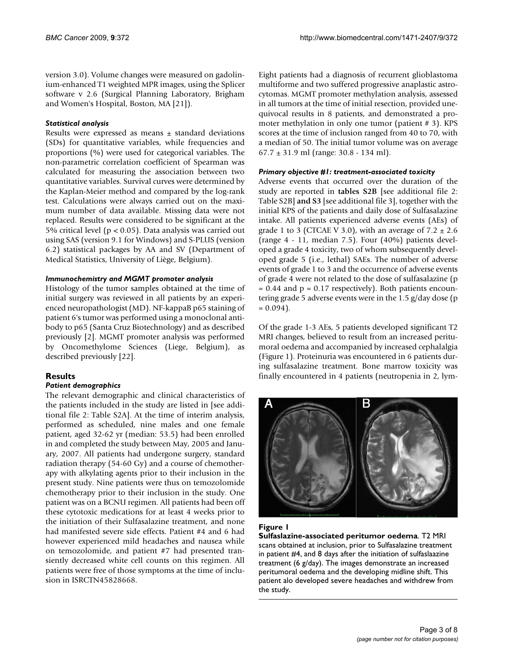version 3.0). Volume changes were measured on gadolinium-enhanced T1 weighted MPR images, using the Splicer software v 2.6 (Surgical Planning Laboratory, Brigham and Women's Hospital, Boston, MA [21]).

#### *Statistical analysis*

Results were expressed as means  $\pm$  standard deviations (SDs) for quantitative variables, while frequencies and proportions (%) were used for categorical variables. The non-parametric correlation coefficient of Spearman was calculated for measuring the association between two quantitative variables. Survival curves were determined by the Kaplan-Meier method and compared by the log-rank test. Calculations were always carried out on the maximum number of data available. Missing data were not replaced. Results were considered to be significant at the 5% critical level (p < 0.05). Data analysis was carried out using SAS (version 9.1 for Windows) and S-PLUS (version 6.2) statistical packages by AA and SV (Department of Medical Statistics, University of Liège, Belgium).

#### *Immunochemistry and MGMT promoter analysis*

Histology of the tumor samples obtained at the time of initial surgery was reviewed in all patients by an experienced neuropathologist (MD). NF-kappaB p65 staining of patient 6's tumor was performed using a monoclonal antibody to p65 (Santa Cruz Biotechnology) and as described previously [2]. MGMT promoter analysis was performed by Oncomethylome Sciences (Liege, Belgium), as described previously [22].

#### **Results**

#### *Patient demographics*

The relevant demographic and clinical characteristics of the patients included in the study are listed in [see additional file 2: Table S2A]. At the time of interim analysis, performed as scheduled, nine males and one female patient, aged 32-62 yr (median: 53.5) had been enrolled in and completed the study between May, 2005 and January, 2007. All patients had undergone surgery, standard radiation therapy (54-60 Gy) and a course of chemotherapy with alkylating agents prior to their inclusion in the present study. Nine patients were thus on temozolomide chemotherapy prior to their inclusion in the study. One patient was on a BCNU regimen. All patients had been off these cytotoxic medications for at least 4 weeks prior to the initiation of their Sulfasalazine treatment, and none had manifested severe side effects. Patient #4 and 6 had however experienced mild headaches and nausea while on temozolomide, and patient #7 had presented transiently decreased white cell counts on this regimen. All patients were free of those symptoms at the time of inclusion in ISRCTN45828668.

Eight patients had a diagnosis of recurrent glioblastoma multiforme and two suffered progressive anaplastic astrocytomas. MGMT promoter methylation analysis, assessed in all tumors at the time of initial resection, provided unequivocal results in 8 patients, and demonstrated a promoter methylation in only one tumor (patient # 3). KPS scores at the time of inclusion ranged from 40 to 70, with a median of 50. The initial tumor volume was on average  $67.7 \pm 31.9$  ml (range: 30.8 - 134 ml).

#### *Primary objective #1: treatment-associated toxicity*

Adverse events that occurred over the duration of the study are reported in **tables S2B** [see additional file 2: Table S2B] **and S3** [see additional file 3], together with the initial KPS of the patients and daily dose of Sulfasalazine intake. All patients experienced adverse events (AEs) of grade 1 to 3 (CTCAE V 3.0), with an average of  $7.2 \pm 2.6$ (range 4 - 11, median 7.5). Four (40%) patients developed a grade 4 toxicity, two of whom subsequently developed grade 5 (i.e., lethal) SAEs. The number of adverse events of grade 1 to 3 and the occurrence of adverse events of grade 4 were not related to the dose of sulfasalazine (p  $= 0.44$  and  $p = 0.17$  respectively). Both patients encountering grade 5 adverse events were in the 1.5 g/day dose (p  $= 0.094$ ).

Of the grade 1-3 AEs, 5 patients developed significant T2 MRI changes, believed to result from an increased peritumoral oedema and accompanied by increased cephalalgia (Figure 1). Proteinuria was encountered in 6 patients during sulfasalazine treatment. Bone marrow toxicity was finally encountered in 4 patients (neutropenia in 2, lym-



#### **Figure 1**

**Sulfaslazine-associated peritumor oedema**. T2 MRI scans obtained at inclusion, prior to Sulfasalazine treatment in patient #4, and 8 days after the initiation of sulfaslaazine treatment (6 g/day). The images demonstrate an increased peritumoral oedema and the developing midline shift. This patient alo developed severe headaches and withdrew from the study.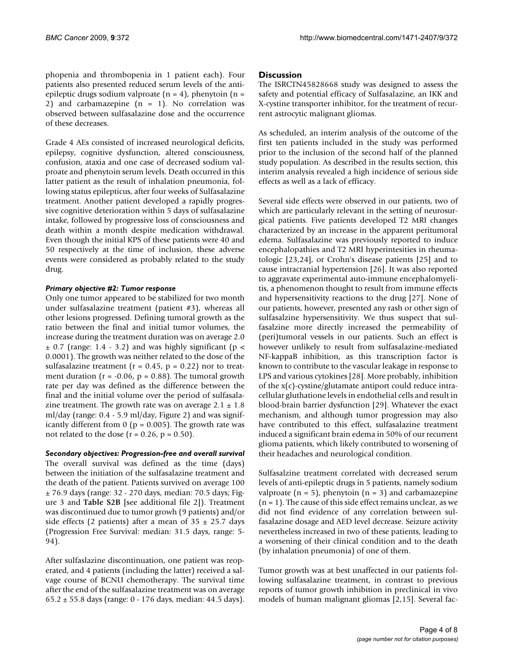phopenia and thrombopenia in 1 patient each). Four patients also presented reduced serum levels of the antiepileptic drugs sodium valproate ( $n = 4$ ), phenytoin ( $n = 1$ ) 2) and carbamazepine  $(n = 1)$ . No correlation was observed between sulfasalazine dose and the occurrence of these decreases.

Grade 4 AEs consisted of increased neurological deficits, epilepsy, cognitive dysfunction, altered consciousness, confusion, ataxia and one case of decreased sodium valproate and phenytoin serum levels. Death occurred in this latter patient as the result of inhalation pneumonia, following status epilepticus, after four weeks of Sulfasalazine treatment. Another patient developed a rapidly progressive cognitive deterioration within 5 days of sulfasalazine intake, followed by progressive loss of consciousness and death within a month despite medication withdrawal. Even though the initial KPS of these patients were 40 and 50 respectively at the time of inclusion, these adverse events were considered as probably related to the study drug.

#### *Primary objective #2: Tumor response*

Only one tumor appeared to be stabilized for two month under sulfasalazine treatment (patient #3), whereas all other lesions progressed. Defining tumoral growth as the ratio between the final and initial tumor volumes, the increase during the treatment duration was on average 2.0  $\pm$  0.7 (range: 1.4 - 3.2) and was highly significant (p < 0.0001). The growth was neither related to the dose of the sulfasalazine treatment ( $r = 0.45$ ,  $p = 0.22$ ) nor to treatment duration ( $r = -0.06$ ,  $p = 0.88$ ). The tumoral growth rate per day was defined as the difference between the final and the initial volume over the period of sulfasalazine treatment. The growth rate was on average  $2.1 \pm 1.8$ ml/day (range: 0.4 - 5.9 ml/day, Figure 2) and was significantly different from 0 ( $p = 0.005$ ). The growth rate was not related to the dose  $(r = 0.26, p = 0.50)$ .

#### *Secondary objectives: Progression-free and overall survival*

The overall survival was defined as the time (days) between the initiation of the sulfasalazine treatment and the death of the patient. Patients survived on average 100 ± 76.9 days (range: 32 - 270 days, median: 70.5 days; Figure 3 and **Table S2B** [see additional file 2]). Treatment was discontinued due to tumor growh (9 patients) and/or side effects (2 patients) after a mean of  $35 \pm 25.7$  days (Progression Free Survival: median: 31.5 days, range: 5- 94).

After sulfaslazine discontinuation, one patient was reoperated, and 4 patients (including the latter) received a salvage course of BCNU chemotherapy. The survival time after the end of the sulfasalazine treatment was on average 65.2 ± 55.8 days (range: 0 - 176 days, median: 44.5 days).

#### **Discussion**

The ISRCTN45828668 study was designed to assess the safety and potential efficacy of Sulfasalazine, an IKK and X-cystine transporter inhibitor, for the treatment of recurrent astrocytic malignant gliomas.

As scheduled, an interim analysis of the outcome of the first ten patients included in the study was performed prior to the inclusion of the second half of the planned study population. As described in the results section, this interim analysis revealed a high incidence of serious side effects as well as a lack of efficacy.

Several side effects were observed in our patients, two of which are particularly relevant in the setting of neurosurgical patients. Five patients developed T2 MRI changes characterized by an increase in the apparent peritumoral edema. Sulfasalazine was previously reported to induce encephalopathies and T2 MRI hyperintesities in rheumatologic [23,24], or Crohn's disease patients [25] and to cause intracranial hypertension [26]. It was also reported to aggravate experimental auto-immune encephalomyelitis, a phenomenon thought to result from immune effects and hypersensitivity reactions to the drug [27]. None of our patients, however, presented any rash or other sign of sulfasalzine hypersensitivity. We thus suspect that sulfasalzine more directly increased the permeability of (peri)tumoral vessels in our patients. Such an effect is however unlikely to result from sulfasalazine-mediated NF-kappaB inhibition, as this transcription factor is known to contribute to the vascular leakage in response to LPS and various cytokines [28]. More probably, inhibition of the x(c)-cystine/glutamate antiport could reduce intracellular gluthatione levels in endothelial cells and result in blood-brain barrier dysfunction [29]. Whatever the exact mechanism, and although tumor progression may also have contributed to this effect, sulfasalazine treatment induced a significant brain edema in 50% of our recurrent glioma patients, which likely contributed to worsening of their headaches and neurological condition.

Sulfasalzine treatment correlated with decreased serum levels of anti-epileptic drugs in 5 patients, namely sodium valproate  $(n = 5)$ , phenytoin  $(n = 3)$  and carbamazepine  $(n = 1)$ . The cause of this side effect remains unclear, as we did not find evidence of any correlation between sulfasalazine dosage and AED level decrease. Seizure activity nevertheless increased in two of these patients, leading to a worsening of their clinical condition and to the death (by inhalation pneumonia) of one of them.

Tumor growth was at best unaffected in our patients following sulfasalazine treatment, in contrast to previous reports of tumor growth inhibition in preclinical in vivo models of human malignant gliomas [2,15]. Several fac-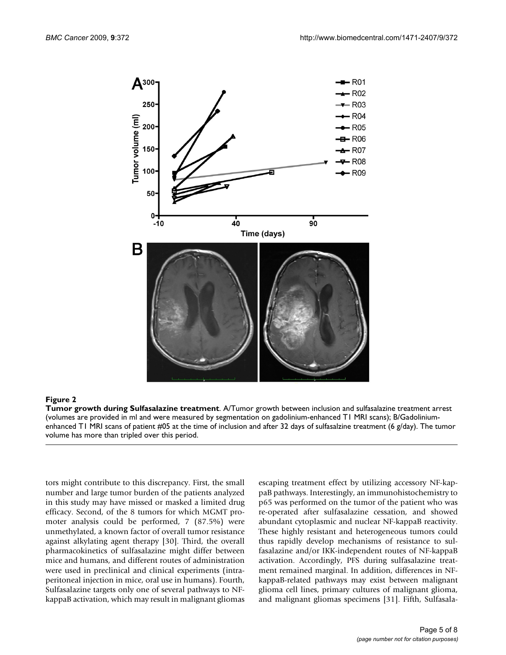

#### Figure 2

**Tumor growth during Sulfasalazine treatment**. A/Tumor growth between inclusion and sulfasalazine treatment arrest (volumes are provided in ml and were measured by segmentation on gadolinium-enhanced T1 MRI scans); B/Gadoliniumenhanced T1 MRI scans of patient #05 at the time of inclusion and after 32 days of sulfasalzine treatment (6 g/day). The tumor volume has more than tripled over this period.

tors might contribute to this discrepancy. First, the small number and large tumor burden of the patients analyzed in this study may have missed or masked a limited drug efficacy. Second, of the 8 tumors for which MGMT promoter analysis could be performed, 7 (87.5%) were unmethylated, a known factor of overall tumor resistance against alkylating agent therapy [30]. Third, the overall pharmacokinetics of sulfasalazine might differ between mice and humans, and different routes of administration were used in preclinical and clinical experiments (intraperitoneal injection in mice, oral use in humans). Fourth, Sulfasalazine targets only one of several pathways to NFkappaB activation, which may result in malignant gliomas

escaping treatment effect by utilizing accessory NF-kappaB pathways. Interestingly, an immunohistochemistry to p65 was performed on the tumor of the patient who was re-operated after sulfasalazine cessation, and showed abundant cytoplasmic and nuclear NF-kappaB reactivity. These highly resistant and heterogeneous tumors could thus rapidly develop mechanisms of resistance to sulfasalazine and/or IKK-independent routes of NF-kappaB activation. Accordingly, PFS during sulfasalazine treatment remained marginal. In addition, differences in NFkappaB-related pathways may exist between malignant glioma cell lines, primary cultures of malignant glioma, and malignant gliomas specimens [31]. Fifth, Sulfasala-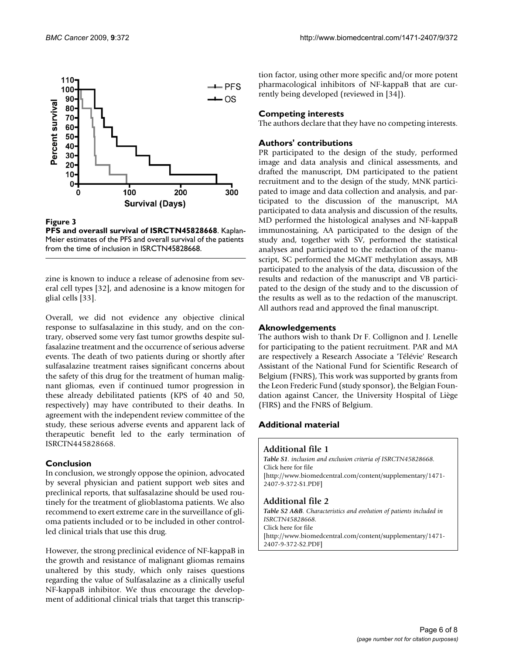

#### **Figure 3**



zine is known to induce a release of adenosine from several cell types [32], and adenosine is a know mitogen for glial cells [33].

Overall, we did not evidence any objective clinical response to sulfasalazine in this study, and on the contrary, observed some very fast tumor growths despite sulfasalazine treatment and the occurrence of serious adverse events. The death of two patients during or shortly after sulfasalazine treatment raises significant concerns about the safety of this drug for the treatment of human malignant gliomas, even if continued tumor progression in these already debilitated patients (KPS of 40 and 50, respectively) may have contributed to their deaths. In agreement with the independent review committee of the study, these serious adverse events and apparent lack of therapeutic benefit led to the early termination of ISRCTN445828668.

#### **Conclusion**

In conclusion, we strongly oppose the opinion, advocated by several physician and patient support web sites and preclinical reports, that sulfasalazine should be used routinely for the treatment of glioblastoma patients. We also recommend to exert extreme care in the surveillance of glioma patients included or to be included in other controlled clinical trials that use this drug.

However, the strong preclinical evidence of NF-kappaB in the growth and resistance of malignant gliomas remains unaltered by this study, which only raises questions regarding the value of Sulfasalazine as a clinically useful NF-kappaB inhibitor. We thus encourage the development of additional clinical trials that target this transcription factor, using other more specific and/or more potent pharmacological inhibitors of NF-kappaB that are currently being developed (reviewed in [34]).

# **Competing interests**

The authors declare that they have no competing interests.

### **Authors' contributions**

PR participated to the design of the study, performed image and data analysis and clinical assessments, and drafted the manuscript, DM participated to the patient recruitment and to the design of the study, MNK participated to image and data collection and analysis, and participated to the discussion of the manuscript, MA participated to data analysis and discussion of the results, MD performed the histological analyses and NF-kappaB immunostaining, AA participated to the design of the study and, together with SV, performed the statistical analyses and participated to the redaction of the manuscript, SC performed the MGMT methylation assays, MB participated to the analysis of the data, discussion of the results and redaction of the manuscript and VB participated to the design of the study and to the discussion of the results as well as to the redaction of the manuscript. All authors read and approved the final manuscript.

#### **Aknowledgements**

The authors wish to thank Dr F. Collignon and J. Lenelle for participating to the patient recruitment. PAR and MA are respectively a Research Associate a 'Télévie' Research Assistant of the National Fund for Scientific Research of Belgium (FNRS), This work was supported by grants from the Leon Frederic Fund (study sponsor), the Belgian Foundation against Cancer, the University Hospital of Liège (FIRS) and the FNRS of Belgium.

# **Additional material**

#### **Additional file 1**

*Table S1. inclusion and exclusion criteria of ISRCTN45828668.* Click here for file [\[http://www.biomedcentral.com/content/supplementary/1471-](http://www.biomedcentral.com/content/supplementary/1471-2407-9-372-S1.PDF) 2407-9-372-S1.PDF]

# **Additional file 2**

*Table S2 A&B. Characteristics and evolution of patients included in ISRCTN45828668.* Click here for file [\[http://www.biomedcentral.com/content/supplementary/1471-](http://www.biomedcentral.com/content/supplementary/1471-2407-9-372-S2.PDF) 2407-9-372-S2.PDF]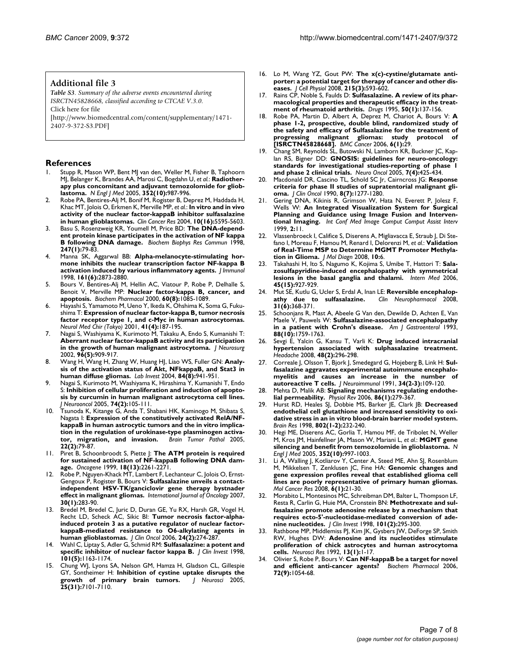#### **Additional file 3**

*Table S3. Summary of the adverse events encountered during ISRCTN45828668, classified according to CTCAE V.3.0.* Click here for file

[\[http://www.biomedcentral.com/content/supplementary/1471-](http://www.biomedcentral.com/content/supplementary/1471-2407-9-372-S3.PDF) 2407-9-372-S3.PDF]

#### **References**

- Stupp R, Mason WP, Bent MJ van den, Weller M, Fisher B, Taphoorn MJ, Belanger K, Brandes AA, Marosi C, Bogdahn U, *et al.*: **[Radiother](http://www.ncbi.nlm.nih.gov/entrez/query.fcgi?cmd=Retrieve&db=PubMed&dopt=Abstract&list_uids=15758009)[apy plus concomitant and adjuvant temozolomide for gliob](http://www.ncbi.nlm.nih.gov/entrez/query.fcgi?cmd=Retrieve&db=PubMed&dopt=Abstract&list_uids=15758009)[lastoma.](http://www.ncbi.nlm.nih.gov/entrez/query.fcgi?cmd=Retrieve&db=PubMed&dopt=Abstract&list_uids=15758009)** *N Engl J Med* 2005, **352(10):**987-996.
- 2. Robe PA, Bentires-Alj M, Bonif M, Rogister B, Deprez M, Haddada H, Khac MT, Jolois O, Erkmen K, Merville MP, *et al.*: **[In vitro and in vivo](http://www.ncbi.nlm.nih.gov/entrez/query.fcgi?cmd=Retrieve&db=PubMed&dopt=Abstract&list_uids=15328202) [activity of the nuclear factor-kappaB inhibitor sulfasalazine](http://www.ncbi.nlm.nih.gov/entrez/query.fcgi?cmd=Retrieve&db=PubMed&dopt=Abstract&list_uids=15328202) [in human glioblastomas.](http://www.ncbi.nlm.nih.gov/entrez/query.fcgi?cmd=Retrieve&db=PubMed&dopt=Abstract&list_uids=15328202)** *Clin Cancer Res* 2004, **10(16):**5595-5603.
- 3. Basu S, Rosenzweig KR, Youmell M, Price BD: **[The DNA-depend](http://www.ncbi.nlm.nih.gov/entrez/query.fcgi?cmd=Retrieve&db=PubMed&dopt=Abstract&list_uids=9636658)[ent protein kinase participates in the activation of NF kappa](http://www.ncbi.nlm.nih.gov/entrez/query.fcgi?cmd=Retrieve&db=PubMed&dopt=Abstract&list_uids=9636658) [B following DNA damage.](http://www.ncbi.nlm.nih.gov/entrez/query.fcgi?cmd=Retrieve&db=PubMed&dopt=Abstract&list_uids=9636658)** *Biochem Biophys Res Commun* 1998, **247(1):**79-83.
- Manna SK, Aggarwal BB: [Alpha-melanocyte-stimulating hor](http://www.ncbi.nlm.nih.gov/entrez/query.fcgi?cmd=Retrieve&db=PubMed&dopt=Abstract&list_uids=9743348)**[mone inhibits the nuclear transcription factor NF-kappa B](http://www.ncbi.nlm.nih.gov/entrez/query.fcgi?cmd=Retrieve&db=PubMed&dopt=Abstract&list_uids=9743348) [activation induced by various inflammatory agents.](http://www.ncbi.nlm.nih.gov/entrez/query.fcgi?cmd=Retrieve&db=PubMed&dopt=Abstract&list_uids=9743348)** *J Immunol* 1998, **161(6):**2873-2880.
- 5. Bours V, Bentires-Alj M, Hellin AC, Viatour P, Robe P, Delhalle S, Benoit V, Merville MP: **[Nuclear factor-kappa B, cancer, and](http://www.ncbi.nlm.nih.gov/entrez/query.fcgi?cmd=Retrieve&db=PubMed&dopt=Abstract&list_uids=11007945) [apoptosis.](http://www.ncbi.nlm.nih.gov/entrez/query.fcgi?cmd=Retrieve&db=PubMed&dopt=Abstract&list_uids=11007945)** *Biochem Pharmacol* 2000, **60(8):**1085-1089.
- 6. Hayashi S, Yamamoto M, Ueno Y, Ikeda K, Ohshima K, Soma G, Fukushima T: **[Expression of nuclear factor-kappa B, tumor necrosis](http://www.ncbi.nlm.nih.gov/entrez/query.fcgi?cmd=Retrieve&db=PubMed&dopt=Abstract&list_uids=11381677) [factor receptor type 1, and c-Myc in human astrocytomas.](http://www.ncbi.nlm.nih.gov/entrez/query.fcgi?cmd=Retrieve&db=PubMed&dopt=Abstract&list_uids=11381677)** *Neurol Med Chir (Tokyo)* 2001, **41(4):**187-195.
- 7. Nagai S, Washiyama K, Kurimoto M, Takaku A, Endo S, Kumanishi T: **[Aberrant nuclear factor-kappaB activity and its participation](http://www.ncbi.nlm.nih.gov/entrez/query.fcgi?cmd=Retrieve&db=PubMed&dopt=Abstract&list_uids=12005399) [in the growth of human malignant astrocytoma.](http://www.ncbi.nlm.nih.gov/entrez/query.fcgi?cmd=Retrieve&db=PubMed&dopt=Abstract&list_uids=12005399)** *J Neurosurg* 2002, **96(5):**909-917.
- 8. Wang H, Wang H, Zhang W, Huang HJ, Liao WS, Fuller GN: **[Analy](http://www.ncbi.nlm.nih.gov/entrez/query.fcgi?cmd=Retrieve&db=PubMed&dopt=Abstract&list_uids=15184909)[sis of the activation status of Akt, NFkappaB, and Stat3 in](http://www.ncbi.nlm.nih.gov/entrez/query.fcgi?cmd=Retrieve&db=PubMed&dopt=Abstract&list_uids=15184909) [human diffuse gliomas.](http://www.ncbi.nlm.nih.gov/entrez/query.fcgi?cmd=Retrieve&db=PubMed&dopt=Abstract&list_uids=15184909)** *Lab Invest* 2004, **84(8):**941-951.
- 9. Nagai S, Kurimoto M, Washiyama K, Hirashima Y, Kumanishi T, Endo S: **[Inhibition of cellular proliferation and induction of apopto](http://www.ncbi.nlm.nih.gov/entrez/query.fcgi?cmd=Retrieve&db=PubMed&dopt=Abstract&list_uids=16193380)[sis by curcumin in human malignant astrocytoma cell lines.](http://www.ncbi.nlm.nih.gov/entrez/query.fcgi?cmd=Retrieve&db=PubMed&dopt=Abstract&list_uids=16193380)** *J Neurooncol* 2005, **74(2):**105-111.
- 10. Tsunoda K, Kitange G, Anda T, Shabani HK, Kaminogo M, Shibata S, Nagata I: **[Expression of the constitutively activated RelA/NF](http://www.ncbi.nlm.nih.gov/entrez/query.fcgi?cmd=Retrieve&db=PubMed&dopt=Abstract&list_uids=18095109)[kappaB in human astrocytic tumors and the in vitro implica](http://www.ncbi.nlm.nih.gov/entrez/query.fcgi?cmd=Retrieve&db=PubMed&dopt=Abstract&list_uids=18095109)tion in the regulation of urokinase-type plasminogen activa[tor, migration, and invasion.](http://www.ncbi.nlm.nih.gov/entrez/query.fcgi?cmd=Retrieve&db=PubMed&dopt=Abstract&list_uids=18095109)** *Brain Tumor Pathol* 2005, **22(2):**79-87.
- 11. Piret B, Schoonbroodt S, Piette J: **[The ATM protein is required](http://www.ncbi.nlm.nih.gov/entrez/query.fcgi?cmd=Retrieve&db=PubMed&dopt=Abstract&list_uids=10327072) [for sustained activation of NF-kappaB following DNA dam](http://www.ncbi.nlm.nih.gov/entrez/query.fcgi?cmd=Retrieve&db=PubMed&dopt=Abstract&list_uids=10327072)[age.](http://www.ncbi.nlm.nih.gov/entrez/query.fcgi?cmd=Retrieve&db=PubMed&dopt=Abstract&list_uids=10327072)** *Oncogene* 1999, **18(13):**2261-2271.
- 12. Robe P, Nguyen-Khack MT, Lambert F, Lechanteur C, Jolois O, Ernst-Gengoux P, Rogister B, Bours V: **[Sulfasalazine unveils a contact](http://www.ncbi.nlm.nih.gov/entrez/query.fcgi?cmd=Retrieve&db=PubMed&dopt=Abstract&list_uids=17143539)[independent HSV-TK/ganciclovir gene therapy bystnader](http://www.ncbi.nlm.nih.gov/entrez/query.fcgi?cmd=Retrieve&db=PubMed&dopt=Abstract&list_uids=17143539) [effect in malignant gliomas.](http://www.ncbi.nlm.nih.gov/entrez/query.fcgi?cmd=Retrieve&db=PubMed&dopt=Abstract&list_uids=17143539)** *International Journal of Oncology* 2007, **30(1):**283-90.
- 13. Bredel M, Bredel C, Juric D, Duran GE, Yu RX, Harsh GR, Vogel H, Recht LD, Scheck AC, Sikic BI: **[Tumor necrosis factor-alpha](http://www.ncbi.nlm.nih.gov/entrez/query.fcgi?cmd=Retrieve&db=PubMed&dopt=Abstract&list_uids=16365179)[induced protein 3 as a putative regulator of nuclear factor](http://www.ncbi.nlm.nih.gov/entrez/query.fcgi?cmd=Retrieve&db=PubMed&dopt=Abstract&list_uids=16365179)kappaB-mediated resistance to O6-alkylating agents in [human glioblastomas.](http://www.ncbi.nlm.nih.gov/entrez/query.fcgi?cmd=Retrieve&db=PubMed&dopt=Abstract&list_uids=16365179)** *J Clin Oncol* 2006, **24(2):**274-287.
- 14. Wahl C, Liptay S, Adler G, Schmid RM: **[Sulfasalazine: a potent and](http://www.ncbi.nlm.nih.gov/entrez/query.fcgi?cmd=Retrieve&db=PubMed&dopt=Abstract&list_uids=9486988) [specific inhibitor of nuclear factor kappa B.](http://www.ncbi.nlm.nih.gov/entrez/query.fcgi?cmd=Retrieve&db=PubMed&dopt=Abstract&list_uids=9486988)** *J Clin Invest* 1998, **101(5):**1163-1174.
- 15. Chung WJ, Lyons SA, Nelson GM, Hamza H, Gladson CL, Gillespie GY, Sontheimer H: **[Inhibition of cystine uptake disrupts the](http://www.ncbi.nlm.nih.gov/entrez/query.fcgi?cmd=Retrieve&db=PubMed&dopt=Abstract&list_uids=16079392)** [growth of primary brain tumors.](http://www.ncbi.nlm.nih.gov/entrez/query.fcgi?cmd=Retrieve&db=PubMed&dopt=Abstract&list_uids=16079392) **25(31):**7101-7110.
- 16. Lo M, Wang YZ, Gout PW: **[The x\(c\)-cystine/glutamate anti](http://www.ncbi.nlm.nih.gov/entrez/query.fcgi?cmd=Retrieve&db=PubMed&dopt=Abstract&list_uids=18181196)[porter: a potential target for therapy of cancer and other dis](http://www.ncbi.nlm.nih.gov/entrez/query.fcgi?cmd=Retrieve&db=PubMed&dopt=Abstract&list_uids=18181196)[eases.](http://www.ncbi.nlm.nih.gov/entrez/query.fcgi?cmd=Retrieve&db=PubMed&dopt=Abstract&list_uids=18181196)** *J Cell Physiol* 2008, **215(3):**593-602.
- 17. Rains CP, Noble S, Faulds D: **[Sulfasalazine. A review of its phar](http://www.ncbi.nlm.nih.gov/entrez/query.fcgi?cmd=Retrieve&db=PubMed&dopt=Abstract&list_uids=7588084)[macological properties and therapeutic efficacy in the treat](http://www.ncbi.nlm.nih.gov/entrez/query.fcgi?cmd=Retrieve&db=PubMed&dopt=Abstract&list_uids=7588084)[ment of rheumatoid arthritis.](http://www.ncbi.nlm.nih.gov/entrez/query.fcgi?cmd=Retrieve&db=PubMed&dopt=Abstract&list_uids=7588084)** *Drugs* 1995, **50(1):**137-156.
- 18. Robe PA, Martin D, Albert A, Deprez M, Chariot A, Bours V: **[A](http://www.ncbi.nlm.nih.gov/entrez/query.fcgi?cmd=Retrieve&db=PubMed&dopt=Abstract&list_uids=16448552) [phase 1-2, prospective, double blind, randomized study of](http://www.ncbi.nlm.nih.gov/entrez/query.fcgi?cmd=Retrieve&db=PubMed&dopt=Abstract&list_uids=16448552) the safety and efficacy of Sulfasalazine for the treatment of progressing malignant gliomas: study protocol of [\[ISRCTN45828668\].](http://www.ncbi.nlm.nih.gov/entrez/query.fcgi?cmd=Retrieve&db=PubMed&dopt=Abstract&list_uids=16448552)** *BMC Cancer* 2006, **6(1):**29.
- 19. Chang SM, Reynolds SL, Butowski N, Lamborn KR, Buckner JC, Kaplan RS, Bigner DD: **[GNOSIS: guidelines for neuro-oncology:](http://www.ncbi.nlm.nih.gov/entrez/query.fcgi?cmd=Retrieve&db=PubMed&dopt=Abstract&list_uids=16212807) [standards for investigational studies-reporting of phase 1](http://www.ncbi.nlm.nih.gov/entrez/query.fcgi?cmd=Retrieve&db=PubMed&dopt=Abstract&list_uids=16212807) [and phase 2 clinical trials.](http://www.ncbi.nlm.nih.gov/entrez/query.fcgi?cmd=Retrieve&db=PubMed&dopt=Abstract&list_uids=16212807)** *Neuro Oncol* 2005, **7(4):**425-434.
- 20. Macdonald DR, Cascino TL, Schold SC Jr, Cairncross JG: **[Response](http://www.ncbi.nlm.nih.gov/entrez/query.fcgi?cmd=Retrieve&db=PubMed&dopt=Abstract&list_uids=2358840) [criteria for phase II studies of supratentorial malignant gli](http://www.ncbi.nlm.nih.gov/entrez/query.fcgi?cmd=Retrieve&db=PubMed&dopt=Abstract&list_uids=2358840)[oma.](http://www.ncbi.nlm.nih.gov/entrez/query.fcgi?cmd=Retrieve&db=PubMed&dopt=Abstract&list_uids=2358840)** *J Clin Oncol* 1990, **8(7):**1277-1280.
- 21. Gering DNA, Kikinis R, Grimson W, Hata N, Everett P, Jolesz F, Wells W: **An Integrated Visualization System for Surgical Planning and Guidance using Image Fusion and Interventional Imaging.** *Int Conf Med Image Comput Comput Assist Interv* 1999, **2:**11.
- 22. Vlassenbroeck I, Califice S, Diserens A, Migliavacca E, Straub J, Di Stefano I, Moreau F, Hamou M, Renard I, Delorenzi M, *et al.*: **Validation of Real-Time MSP to Determine MGMT Promoter Methylation in Glioma.** *J Mol Diagn* 2008, **10:**6.
- 23. Takahashi H, Ito S, Nagumo K, Kojima S, Umibe T, Hattori T: **[Sala](http://www.ncbi.nlm.nih.gov/entrez/query.fcgi?cmd=Retrieve&db=PubMed&dopt=Abstract&list_uids=16946577)[zosulfapyridine-induced encephalopathy with symmetrical](http://www.ncbi.nlm.nih.gov/entrez/query.fcgi?cmd=Retrieve&db=PubMed&dopt=Abstract&list_uids=16946577) [lesions in the basal ganglia and thalami.](http://www.ncbi.nlm.nih.gov/entrez/query.fcgi?cmd=Retrieve&db=PubMed&dopt=Abstract&list_uids=16946577)** *Intern Med* 2006, **45(15):**927-929.
- 24. Mut SE, Kutlu G, Ucler S, Erdal A, Inan LE: **[Reversible encephalop](http://www.ncbi.nlm.nih.gov/entrez/query.fcgi?cmd=Retrieve&db=PubMed&dopt=Abstract&list_uids=19050416)**[athy due to sulfasalazine.](http://www.ncbi.nlm.nih.gov/entrez/query.fcgi?cmd=Retrieve&db=PubMed&dopt=Abstract&list_uids=19050416) **31(6):**368-371.
- 25. Schoonjans R, Mast A, Abeele G Van den, Dewilde D, Achten E, Van Maele V, Pauwels W: **[Sulfasalazine-associated encephalopathy](http://www.ncbi.nlm.nih.gov/entrez/query.fcgi?cmd=Retrieve&db=PubMed&dopt=Abstract&list_uids=8105680) [in a patient with Crohn's disease.](http://www.ncbi.nlm.nih.gov/entrez/query.fcgi?cmd=Retrieve&db=PubMed&dopt=Abstract&list_uids=8105680)** *Am J Gastroenterol* 1993, **88(10):**1759-1763.
- 26. Sevgi E, Yalcin G, Kansu T, Varli K: **[Drug induced intracranial](http://www.ncbi.nlm.nih.gov/entrez/query.fcgi?cmd=Retrieve&db=PubMed&dopt=Abstract&list_uids=18070060) [hypertension associated with sulphasalazine treatment.](http://www.ncbi.nlm.nih.gov/entrez/query.fcgi?cmd=Retrieve&db=PubMed&dopt=Abstract&list_uids=18070060)** *Headache* 2008, **48(2):**296-298.
- 27. Correale J, Olsson T, Bjork J, Smedegard G, Hojeberg B, Link H: **[Sul](http://www.ncbi.nlm.nih.gov/entrez/query.fcgi?cmd=Retrieve&db=PubMed&dopt=Abstract&list_uids=1680877)[fasalazine aggravates experimental autoimmune encephalo](http://www.ncbi.nlm.nih.gov/entrez/query.fcgi?cmd=Retrieve&db=PubMed&dopt=Abstract&list_uids=1680877)**myelitis and causes an increase in the number **[autoreactive T cells.](http://www.ncbi.nlm.nih.gov/entrez/query.fcgi?cmd=Retrieve&db=PubMed&dopt=Abstract&list_uids=1680877)** *J Neuroimmunol* 1991, **34(2-3):**109-120.
- 28. Mehta D, Malik AB: **[Signaling mechanisms regulating endothe](http://www.ncbi.nlm.nih.gov/entrez/query.fcgi?cmd=Retrieve&db=PubMed&dopt=Abstract&list_uids=16371600)[lial permeability.](http://www.ncbi.nlm.nih.gov/entrez/query.fcgi?cmd=Retrieve&db=PubMed&dopt=Abstract&list_uids=16371600)** *Physiol Rev* 2006, **86(1):**279-367.
- 29. Hurst RD, Heales SJ, Dobbie MS, Barker JE, Clark JB: **[Decreased](http://www.ncbi.nlm.nih.gov/entrez/query.fcgi?cmd=Retrieve&db=PubMed&dopt=Abstract&list_uids=9748597) endothelial cell glutathione and increased sensitivity to oxi[dative stress in an in vitro blood-brain barrier model system.](http://www.ncbi.nlm.nih.gov/entrez/query.fcgi?cmd=Retrieve&db=PubMed&dopt=Abstract&list_uids=9748597)** *Brain Res* 1998, **802(1-2):**232-240.
- 30. Hegi ME, Diserens AC, Gorlia T, Hamou MF, de Tribolet N, Weller M, Kros JM, Hainfellner JA, Mason W, Mariani L, *et al.*: **[MGMT gene](http://www.ncbi.nlm.nih.gov/entrez/query.fcgi?cmd=Retrieve&db=PubMed&dopt=Abstract&list_uids=15758010) [silencing and benefit from temozolomide in glioblastoma.](http://www.ncbi.nlm.nih.gov/entrez/query.fcgi?cmd=Retrieve&db=PubMed&dopt=Abstract&list_uids=15758010)** *N Engl J Med* 2005, **352(10):**997-1003.
- 31. Li A, Walling J, Kotliarov Y, Center A, Steed ME, Ahn SJ, Rosenblum M, Mikkelsen T, Zenklusen JC, Fine HA: **[Genomic changes and](http://www.ncbi.nlm.nih.gov/entrez/query.fcgi?cmd=Retrieve&db=PubMed&dopt=Abstract&list_uids=18184972) [gene expression profiles reveal that established glioma cell](http://www.ncbi.nlm.nih.gov/entrez/query.fcgi?cmd=Retrieve&db=PubMed&dopt=Abstract&list_uids=18184972) lines are poorly representative of primary human gliomas.** *Mol Cancer Res* 2008, **6(1):**21-30.
- 32. Morabito L, Montesinos MC, Schreibman DM, Balter L, Thompson LF, Resta R, Carlin G, Huie MA, Cronstein BN: **[Methotrexate and sul](http://www.ncbi.nlm.nih.gov/entrez/query.fcgi?cmd=Retrieve&db=PubMed&dopt=Abstract&list_uids=9435300)[fasalazine promote adenosine release by a mechanism that](http://www.ncbi.nlm.nih.gov/entrez/query.fcgi?cmd=Retrieve&db=PubMed&dopt=Abstract&list_uids=9435300) requires ecto-5'-nucleotidase-mediated conversion of ade[nine nucleotides.](http://www.ncbi.nlm.nih.gov/entrez/query.fcgi?cmd=Retrieve&db=PubMed&dopt=Abstract&list_uids=9435300)** *J Clin Invest* 1998, **101(2):**295-300.
- 33. Rathbone MP, Middlemiss PJ, Kim JK, Gysbers JW, DeForge SP, Smith RW, Hughes DW: **[Adenosine and its nucleotides stimulate](http://www.ncbi.nlm.nih.gov/entrez/query.fcgi?cmd=Retrieve&db=PubMed&dopt=Abstract&list_uids=1314349) [proliferation of chick astrocytes and human astrocytoma](http://www.ncbi.nlm.nih.gov/entrez/query.fcgi?cmd=Retrieve&db=PubMed&dopt=Abstract&list_uids=1314349) [cells.](http://www.ncbi.nlm.nih.gov/entrez/query.fcgi?cmd=Retrieve&db=PubMed&dopt=Abstract&list_uids=1314349)** *Neurosci Res* 1992, **13(1):**1-17.
- 34. Olivier S, Robe P, Bours V: **[Can NF-kappaB be a target for novel](http://www.ncbi.nlm.nih.gov/entrez/query.fcgi?cmd=Retrieve&db=PubMed&dopt=Abstract&list_uids=16973133) [and efficient anti-cancer agents?](http://www.ncbi.nlm.nih.gov/entrez/query.fcgi?cmd=Retrieve&db=PubMed&dopt=Abstract&list_uids=16973133)** *Biochem Pharmacol* 2006, **72(9):**1054-68.